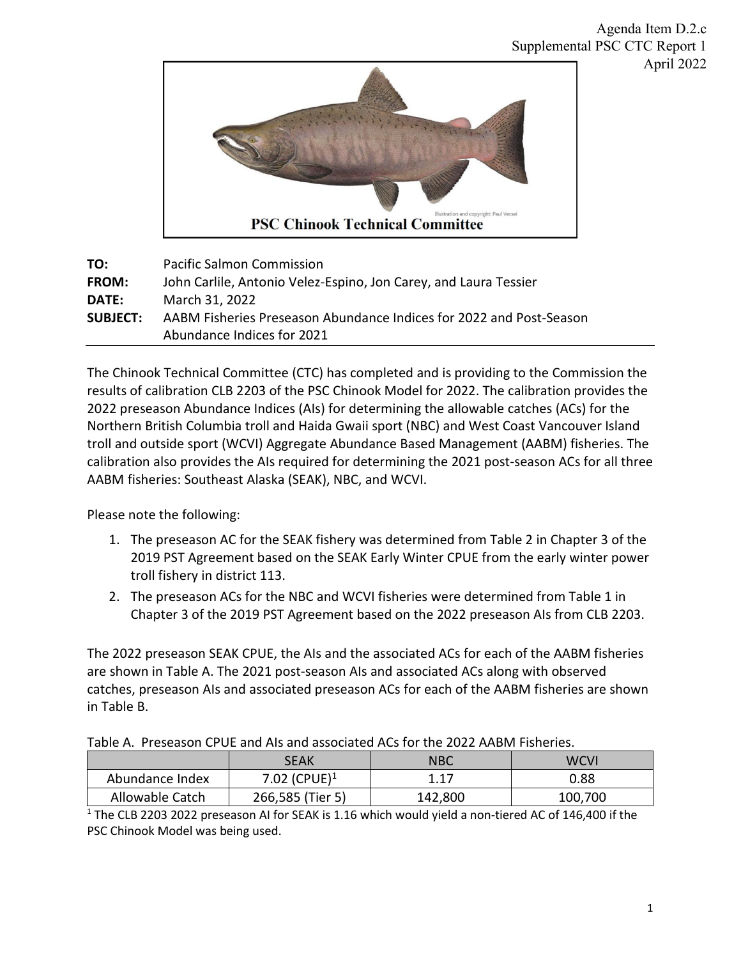

| TO:             | <b>Pacific Salmon Commission</b>                                    |
|-----------------|---------------------------------------------------------------------|
| <b>FROM:</b>    | John Carlile, Antonio Velez-Espino, Jon Carey, and Laura Tessier    |
| DATE:           | March 31, 2022                                                      |
| <b>SUBJECT:</b> | AABM Fisheries Preseason Abundance Indices for 2022 and Post-Season |
|                 | Abundance Indices for 2021                                          |

The Chinook Technical Committee (CTC) has completed and is providing to the Commission the results of calibration CLB 2203 of the PSC Chinook Model for 2022. The calibration provides the 2022 preseason Abundance Indices (AIs) for determining the allowable catches (ACs) for the Northern British Columbia troll and Haida Gwaii sport (NBC) and West Coast Vancouver Island troll and outside sport (WCVI) Aggregate Abundance Based Management (AABM) fisheries. The calibration also provides the AIs required for determining the 2021 post-season ACs for all three AABM fisheries: Southeast Alaska (SEAK), NBC, and WCVI.

Please note the following:

- 1. The preseason AC for the SEAK fishery was determined from Table 2 in Chapter 3 of the 2019 PST Agreement based on the SEAK Early Winter CPUE from the early winter power troll fishery in district 113.
- 2. The preseason ACs for the NBC and WCVI fisheries were determined from Table 1 in Chapter 3 of the 2019 PST Agreement based on the 2022 preseason AIs from CLB 2203.

The 2022 preseason SEAK CPUE, the AIs and the associated ACs for each of the AABM fisheries are shown in Table A. The 2021 post-season AIs and associated ACs along with observed catches, preseason AIs and associated preseason ACs for each of the AABM fisheries are shown in Table B.

| TUDIC A. TTCJCUJUH CI OL UNU AIJ UNU UJJUCIULCU ACJ IUT LIIC ZUZZ AADIVI HJIICHCJ. |                          |         |             |  |  |  |
|------------------------------------------------------------------------------------|--------------------------|---------|-------------|--|--|--|
|                                                                                    | SEAK                     | NBC     | <b>WCVI</b> |  |  |  |
| Abundance Index                                                                    | 7.02 (CPUE) <sup>1</sup> | 1.17    | 0.88        |  |  |  |
| Allowable Catch                                                                    | 266,585 (Tier 5)         | 142,800 | 100,700     |  |  |  |

Table A. Preseason CPUE and AIs and associated ACs for the 2022 AABM Fisheries.

<sup>1</sup> The CLB 2203 2022 preseason AI for SEAK is 1.16 which would yield a non-tiered AC of 146,400 if the PSC Chinook Model was being used.